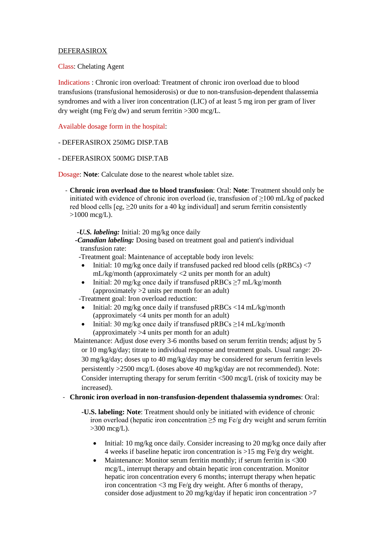## DEFERASIROX

Class: Chelating Agent

Indications : Chronic iron overload: Treatment of chronic iron overload due to blood transfusions (transfusional hemosiderosis) or due to non-transfusion-dependent thalassemia syndromes and with a liver iron concentration (LIC) of at least 5 mg iron per gram of liver dry weight (mg Fe/g dw) and serum ferritin  $>300$  mcg/L.

Available dosage form in the hospital:

- DEFERASIROX 250MG DISP.TAB

- DEFERASIROX 500MG DISP.TAB

Dosage: **Note**: Calculate dose to the nearest whole tablet size.

- **Chronic iron overload due to blood transfusion**: Oral: **Note**: Treatment should only be initiated with evidence of chronic iron overload (ie, transfusion of  $\geq$ 100 mL/kg of packed red blood cells  $[eg, \geq 20]$  units for a 40 kg individual and serum ferritin consistently  $>1000 \text{~mcg/L}$ .

 *-U.S. labeling:* Initial: 20 mg/kg once daily

 *-Canadian labeling:* Dosing based on treatment goal and patient's individual transfusion rate:

-Treatment goal: Maintenance of acceptable body iron levels:

- Initial: 10 mg/kg once daily if transfused packed red blood cells ( $pRBCs$ ) <7 mL/kg/month (approximately <2 units per month for an adult)
- Initial: 20 mg/kg once daily if transfused pRBCs  $\geq$ 7 mL/kg/month (approximately >2 units per month for an adult)

-Treatment goal: Iron overload reduction:

- Initial: 20 mg/kg once daily if transfused pRBCs <14 mL/kg/month (approximately <4 units per month for an adult)
- Initial: 30 mg/kg once daily if transfused pRBCs  $\geq$  14 mL/kg/month (approximately >4 units per month for an adult)

Maintenance: Adjust dose every 3-6 months based on serum ferritin trends; adjust by 5 or 10 mg/kg/day; titrate to individual response and treatment goals. Usual range: 20- 30 mg/kg/day; doses up to 40 mg/kg/day may be considered for serum ferritin levels persistently >2500 mcg/L (doses above 40 mg/kg/day are not recommended). Note: Consider interrupting therapy for serum ferritin <500 mcg/L (risk of toxicity may be increased).

## - **Chronic iron overload in non-transfusion-dependent thalassemia syndromes**: Oral:

- **-U.S. labeling: Note**: Treatment should only be initiated with evidence of chronic iron overload (hepatic iron concentration  $\geq$ 5 mg Fe/g dry weight and serum ferritin  $>300$  mcg/L).
	- Initial: 10 mg/kg once daily. Consider increasing to 20 mg/kg once daily after 4 weeks if baseline hepatic iron concentration is >15 mg Fe/g dry weight.
	- Maintenance: Monitor serum ferritin monthly; if serum ferritin is <300 mcg/L, interrupt therapy and obtain hepatic iron concentration. Monitor hepatic iron concentration every 6 months; interrupt therapy when hepatic iron concentration  $\langle 3 \rangle$  mg Fe/g dry weight. After 6 months of therapy, consider dose adjustment to 20 mg/kg/day if hepatic iron concentration  $>7$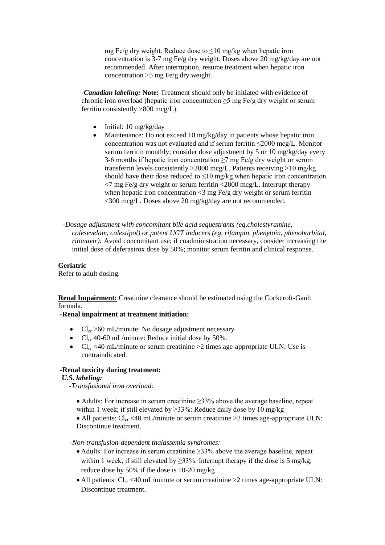mg Fe/g dry weight. Reduce dose to  $\leq 10$  mg/kg when hepatic iron concentration is 3-7 mg Fe/g dry weight. Doses above 20 mg/kg/day are not recommended. After interruption, resume treatment when hepatic iron concentration  $>5$  mg Fe/g dry weight.

*-Canadian labeling:* **Note:** Treatment should only be initiated with evidence of chronic iron overload (hepatic iron concentration  $\geq$ 5 mg Fe/g dry weight or serum ferritin consistently >800 mcg/L).

- $\bullet$  Initial: 10 mg/kg/day
- Maintenance: Do not exceed 10 mg/kg/day in patients whose hepatic iron concentration was not evaluated and if serum ferritin ≤2000 mcg/L. Monitor serum ferritin monthly; consider dose adjustment by 5 or 10 mg/kg/day every 3-6 months if hepatic iron concentration  $\geq$ 7 mg Fe/g dry weight or serum transferrin levels consistently >2000 mcg/L. Patients receiving >10 mg/kg should have their dose reduced to  $\leq 10$  mg/kg when hepatic iron concentration  $\langle 7 \text{ mg Fe/g dry weight}$  or serum ferritin  $\langle 2000 \text{ mcg/L}$ . Interrupt therapy when hepatic iron concentration  $\langle 3 \rangle$  mg Fe/g dry weight or serum ferritin <300 mcg/L. Doses above 20 mg/kg/day are not recommended.
- *-Dosage adjustment with concomitant bile acid sequestrants (eg,cholestyramine, colesevelam, colestipol) or potent UGT inducers (eg, rifampin, phenytoin, phenobarbital, ritonavir):* Avoid concomitant use; if coadministration necessary, consider increasing the initial dose of deferasirox dose by 50%; monitor serum ferritin and clinical response.

# **Geriatric**

Refer to adult dosing.

**Renal Impairment:** Creatinine clearance should be estimated using the Cockcroft-Gault formula.

**-Renal impairment at treatment initiation:**

- $Cl_{cr} > 60$  mL/minute: No dosage adjustment necessary
- $Cl<sub>cr</sub>$  40-60 mL/minute: Reduce initial dose by 50%.
- $Cl_{cr}$  <40 mL/minute or serum creatinine >2 times age-appropriate ULN: Use is contraindicated.

# **-Renal toxicity during treatment:**

## *U.S. labeling:*

 *-Transfusional iron overload:*

 Adults: For increase in serum creatinine ≥33% above the average baseline, repeat within 1 week; if still elevated by  $\geq$ 33%: Reduce daily dose by 10 mg/kg

• All patients:  $Cl_{cr}$  <40 mL/minute or serum creatinine >2 times age-appropriate ULN: Discontinue treatment.

*-Non-transfusion-dependent thalassemia syndromes:* 

- Adults: For increase in serum creatinine ≥33% above the average baseline, repeat within 1 week; if still elevated by  $\geq$ 33%: Interrupt therapy if the dose is 5 mg/kg; reduce dose by 50% if the dose is 10-20 mg/kg
- All patients:  $Cl_{cr}$  <40 mL/minute or serum creatinine >2 times age-appropriate ULN: Discontinue treatment.